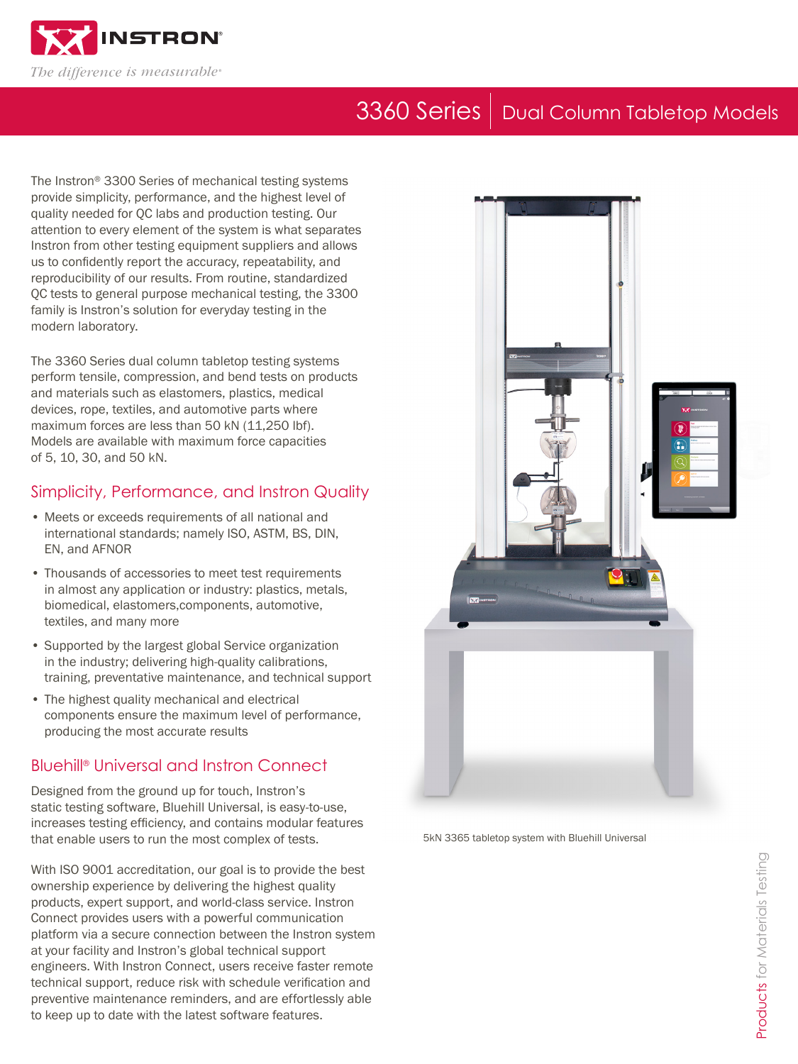

# 3360 Series | Dual Column Tabletop Models

The Instron® 3300 Series of mechanical testing systems provide simplicity, performance, and the highest level of quality needed for QC labs and production testing. Our attention to every element of the system is what separates Instron from other testing equipment suppliers and allows us to confidently report the accuracy, repeatability, and reproducibility of our results. From routine, standardized QC tests to general purpose mechanical testing, the 3300 family is Instron's solution for everyday testing in the modern laboratory.

The 3360 Series dual column tabletop testing systems perform tensile, compression, and bend tests on products and materials such as elastomers, plastics, medical devices, rope, textiles, and automotive parts where maximum forces are less than 50 kN (11,250 lbf). Models are available with maximum force capacities of 5, 10, 30, and 50 kN.

### Simplicity, Performance, and Instron Quality

- Meets or exceeds requirements of all national and international standards; namely ISO, ASTM, BS, DIN, EN, and AFNOR
- Thousands of accessories to meet test requirements in almost any application or industry: plastics, metals, biomedical, elastomers,components, automotive, textiles, and many more
- Supported by the largest global Service organization in the industry; delivering high-quality calibrations, training, preventative maintenance, and technical support
- The highest quality mechanical and electrical components ensure the maximum level of performance, producing the most accurate results

# Bluehill® Universal and Instron Connect

Designed from the ground up for touch, Instron's static testing software, Bluehill Universal, is easy-to-use, increases testing efficiency, and contains modular features that enable users to run the most complex of tests. The SKN 3365 tabletop system with Bluehill Universal

With ISO 9001 accreditation, our goal is to provide the best ownership experience by delivering the highest quality products, expert support, and world-class service. Instron Connect provides users with a powerful communication platform via a secure connection between the Instron system at your facility and Instron's global technical support engineers. With Instron Connect, users receive faster remote technical support, reduce risk with schedule verification and preventive maintenance reminders, and are effortlessly able to keep up to date with the latest software features.